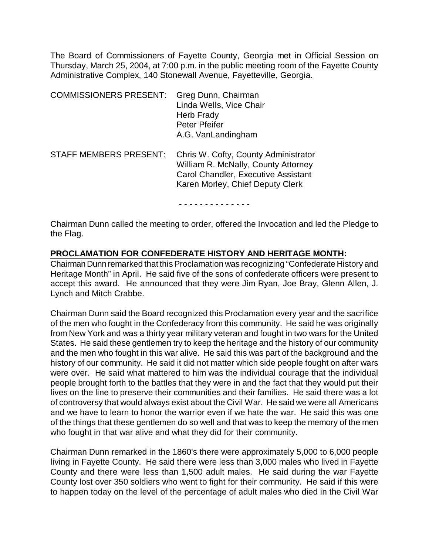The Board of Commissioners of Fayette County, Georgia met in Official Session on Thursday, March 25, 2004, at 7:00 p.m. in the public meeting room of the Fayette County Administrative Complex, 140 Stonewall Avenue, Fayetteville, Georgia.

| <b>COMMISSIONERS PRESENT:</b> | Greg Dunn, Chairman<br>Linda Wells, Vice Chair<br><b>Herb Frady</b><br>Peter Pfeifer<br>A.G. VanLandingham                                                    |
|-------------------------------|---------------------------------------------------------------------------------------------------------------------------------------------------------------|
| <b>STAFF MEMBERS PRESENT:</b> | Chris W. Cofty, County Administrator<br>William R. McNally, County Attorney<br><b>Carol Chandler, Executive Assistant</b><br>Karen Morley, Chief Deputy Clerk |

- - - - - - - - - - - - - -

Chairman Dunn called the meeting to order, offered the Invocation and led the Pledge to the Flag.

# **PROCLAMATION FOR CONFEDERATE HISTORY AND HERITAGE MONTH:**

Chairman Dunn remarked that this Proclamation was recognizing "Confederate History and Heritage Month" in April. He said five of the sons of confederate officers were present to accept this award. He announced that they were Jim Ryan, Joe Bray, Glenn Allen, J. Lynch and Mitch Crabbe.

Chairman Dunn said the Board recognized this Proclamation every year and the sacrifice of the men who fought in the Confederacy from this community. He said he was originally from New York and was a thirty year military veteran and fought in two wars for the United States. He said these gentlemen try to keep the heritage and the history of our community and the men who fought in this war alive. He said this was part of the background and the history of our community. He said it did not matter which side people fought on after wars were over. He said what mattered to him was the individual courage that the individual people brought forth to the battles that they were in and the fact that they would put their lives on the line to preserve their communities and their families. He said there was a lot of controversy that would always exist about the Civil War. He said we were all Americans and we have to learn to honor the warrior even if we hate the war. He said this was one of the things that these gentlemen do so well and that was to keep the memory of the men who fought in that war alive and what they did for their community.

Chairman Dunn remarked in the 1860's there were approximately 5,000 to 6,000 people living in Fayette County. He said there were less than 3,000 males who lived in Fayette County and there were less than 1,500 adult males. He said during the war Fayette County lost over 350 soldiers who went to fight for their community. He said if this were to happen today on the level of the percentage of adult males who died in the Civil War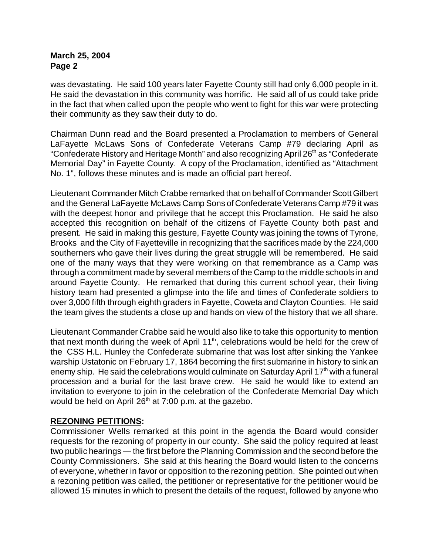was devastating. He said 100 years later Fayette County still had only 6,000 people in it. He said the devastation in this community was horrific. He said all of us could take pride in the fact that when called upon the people who went to fight for this war were protecting their community as they saw their duty to do.

Chairman Dunn read and the Board presented a Proclamation to members of General LaFayette McLaws Sons of Confederate Veterans Camp #79 declaring April as "Confederate History and Heritage Month" and also recognizing April 26<sup>th</sup> as "Confederate Memorial Day" in Fayette County. A copy of the Proclamation, identified as "Attachment No. 1", follows these minutes and is made an official part hereof.

Lieutenant Commander Mitch Crabbe remarked that on behalf of Commander Scott Gilbert and the General LaFayette McLaws Camp Sons of Confederate Veterans Camp #79 it was with the deepest honor and privilege that he accept this Proclamation. He said he also accepted this recognition on behalf of the citizens of Fayette County both past and present. He said in making this gesture, Fayette County was joining the towns of Tyrone, Brooks and the City of Fayetteville in recognizing that the sacrifices made by the 224,000 southerners who gave their lives during the great struggle will be remembered. He said one of the many ways that they were working on that remembrance as a Camp was through a commitment made by several members of the Camp to the middle schools in and around Fayette County. He remarked that during this current school year, their living history team had presented a glimpse into the life and times of Confederate soldiers to over 3,000 fifth through eighth graders in Fayette, Coweta and Clayton Counties. He said the team gives the students a close up and hands on view of the history that we all share.

Lieutenant Commander Crabbe said he would also like to take this opportunity to mention that next month during the week of April  $11<sup>th</sup>$ , celebrations would be held for the crew of the CSS H.L. Hunley the Confederate submarine that was lost after sinking the Yankee warship Ustatonic on February 17, 1864 becoming the first submarine in history to sink an enemy ship. He said the celebrations would culminate on Saturday April  $17<sup>th</sup>$  with a funeral procession and a burial for the last brave crew. He said he would like to extend an invitation to everyone to join in the celebration of the Confederate Memorial Day which would be held on April  $26<sup>th</sup>$  at 7:00 p.m. at the gazebo.

# **REZONING PETITIONS:**

Commissioner Wells remarked at this point in the agenda the Board would consider requests for the rezoning of property in our county. She said the policy required at least two public hearings — the first before the Planning Commission and the second before the County Commissioners. She said at this hearing the Board would listen to the concerns of everyone, whether in favor or opposition to the rezoning petition. She pointed out when a rezoning petition was called, the petitioner or representative for the petitioner would be allowed 15 minutes in which to present the details of the request, followed by anyone who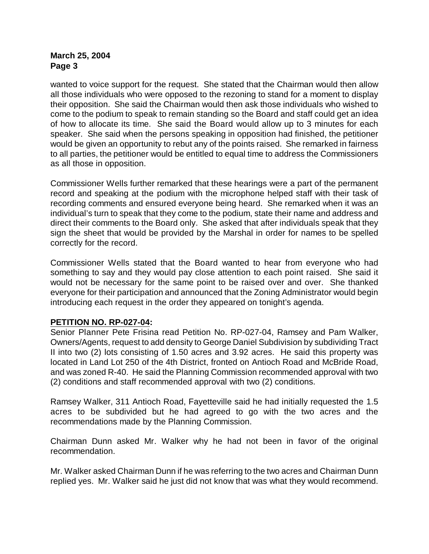wanted to voice support for the request. She stated that the Chairman would then allow all those individuals who were opposed to the rezoning to stand for a moment to display their opposition. She said the Chairman would then ask those individuals who wished to come to the podium to speak to remain standing so the Board and staff could get an idea of how to allocate its time. She said the Board would allow up to 3 minutes for each speaker. She said when the persons speaking in opposition had finished, the petitioner would be given an opportunity to rebut any of the points raised. She remarked in fairness to all parties, the petitioner would be entitled to equal time to address the Commissioners as all those in opposition.

Commissioner Wells further remarked that these hearings were a part of the permanent record and speaking at the podium with the microphone helped staff with their task of recording comments and ensured everyone being heard. She remarked when it was an individual's turn to speak that they come to the podium, state their name and address and direct their comments to the Board only. She asked that after individuals speak that they sign the sheet that would be provided by the Marshal in order for names to be spelled correctly for the record.

Commissioner Wells stated that the Board wanted to hear from everyone who had something to say and they would pay close attention to each point raised. She said it would not be necessary for the same point to be raised over and over. She thanked everyone for their participation and announced that the Zoning Administrator would begin introducing each request in the order they appeared on tonight's agenda.

# **PETITION NO. RP-027-04:**

Senior Planner Pete Frisina read Petition No. RP-027-04, Ramsey and Pam Walker, Owners/Agents, request to add density to George Daniel Subdivision by subdividing Tract II into two (2) lots consisting of 1.50 acres and 3.92 acres. He said this property was located in Land Lot 250 of the 4th District, fronted on Antioch Road and McBride Road, and was zoned R-40. He said the Planning Commission recommended approval with two (2) conditions and staff recommended approval with two (2) conditions.

Ramsey Walker, 311 Antioch Road, Fayetteville said he had initially requested the 1.5 acres to be subdivided but he had agreed to go with the two acres and the recommendations made by the Planning Commission.

Chairman Dunn asked Mr. Walker why he had not been in favor of the original recommendation.

Mr. Walker asked Chairman Dunn if he was referring to the two acres and Chairman Dunn replied yes. Mr. Walker said he just did not know that was what they would recommend.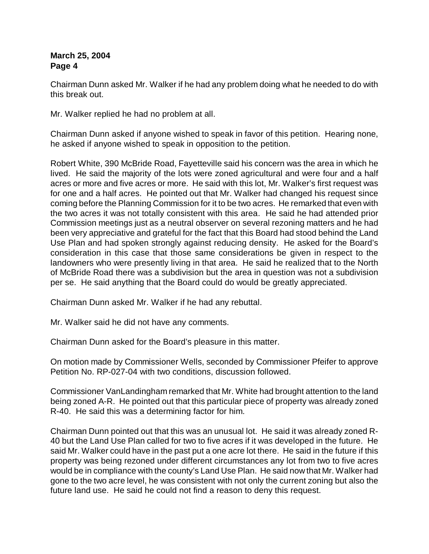Chairman Dunn asked Mr. Walker if he had any problem doing what he needed to do with this break out.

Mr. Walker replied he had no problem at all.

Chairman Dunn asked if anyone wished to speak in favor of this petition. Hearing none, he asked if anyone wished to speak in opposition to the petition.

Robert White, 390 McBride Road, Fayetteville said his concern was the area in which he lived. He said the majority of the lots were zoned agricultural and were four and a half acres or more and five acres or more. He said with this lot, Mr. Walker's first request was for one and a half acres. He pointed out that Mr. Walker had changed his request since coming before the Planning Commission for it to be two acres. He remarked that even with the two acres it was not totally consistent with this area. He said he had attended prior Commission meetings just as a neutral observer on several rezoning matters and he had been very appreciative and grateful for the fact that this Board had stood behind the Land Use Plan and had spoken strongly against reducing density. He asked for the Board's consideration in this case that those same considerations be given in respect to the landowners who were presently living in that area. He said he realized that to the North of McBride Road there was a subdivision but the area in question was not a subdivision per se. He said anything that the Board could do would be greatly appreciated.

Chairman Dunn asked Mr. Walker if he had any rebuttal.

Mr. Walker said he did not have any comments.

Chairman Dunn asked for the Board's pleasure in this matter.

On motion made by Commissioner Wells, seconded by Commissioner Pfeifer to approve Petition No. RP-027-04 with two conditions, discussion followed.

Commissioner VanLandingham remarked that Mr. White had brought attention to the land being zoned A-R. He pointed out that this particular piece of property was already zoned R-40. He said this was a determining factor for him.

Chairman Dunn pointed out that this was an unusual lot. He said it was already zoned R-40 but the Land Use Plan called for two to five acres if it was developed in the future. He said Mr. Walker could have in the past put a one acre lot there. He said in the future if this property was being rezoned under different circumstances any lot from two to five acres would be in compliance with the county's Land Use Plan. He said now that Mr. Walker had gone to the two acre level, he was consistent with not only the current zoning but also the future land use. He said he could not find a reason to deny this request.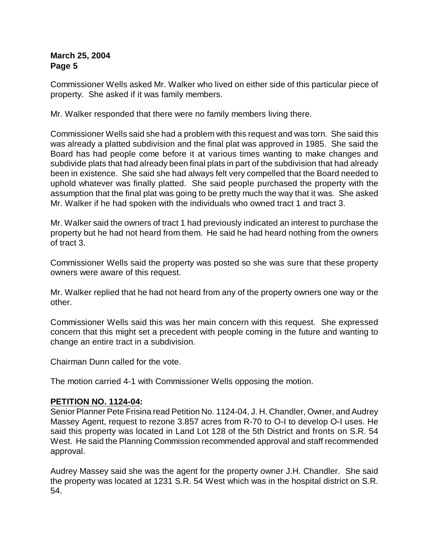Commissioner Wells asked Mr. Walker who lived on either side of this particular piece of property. She asked if it was family members.

Mr. Walker responded that there were no family members living there.

Commissioner Wells said she had a problem with this request and was torn. She said this was already a platted subdivision and the final plat was approved in 1985. She said the Board has had people come before it at various times wanting to make changes and subdivide plats that had already been final plats in part of the subdivision that had already been in existence. She said she had always felt very compelled that the Board needed to uphold whatever was finally platted. She said people purchased the property with the assumption that the final plat was going to be pretty much the way that it was. She asked Mr. Walker if he had spoken with the individuals who owned tract 1 and tract 3.

Mr. Walker said the owners of tract 1 had previously indicated an interest to purchase the property but he had not heard from them. He said he had heard nothing from the owners of tract 3.

Commissioner Wells said the property was posted so she was sure that these property owners were aware of this request.

Mr. Walker replied that he had not heard from any of the property owners one way or the other.

Commissioner Wells said this was her main concern with this request. She expressed concern that this might set a precedent with people coming in the future and wanting to change an entire tract in a subdivision.

Chairman Dunn called for the vote.

The motion carried 4-1 with Commissioner Wells opposing the motion.

#### **PETITION NO. 1124-04:**

Senior Planner Pete Frisina read Petition No. 1124-04, J. H. Chandler, Owner, and Audrey Massey Agent, request to rezone 3.857 acres from R-70 to O-I to develop O-I uses. He said this property was located in Land Lot 128 of the 5th District and fronts on S.R. 54 West. He said the Planning Commission recommended approval and staff recommended approval.

Audrey Massey said she was the agent for the property owner J.H. Chandler. She said the property was located at 1231 S.R. 54 West which was in the hospital district on S.R. 54.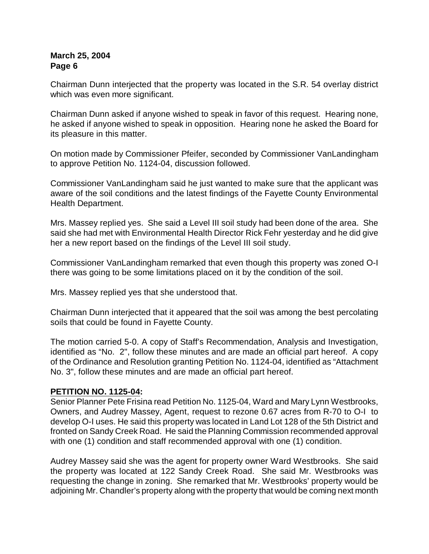Chairman Dunn interjected that the property was located in the S.R. 54 overlay district which was even more significant.

Chairman Dunn asked if anyone wished to speak in favor of this request. Hearing none, he asked if anyone wished to speak in opposition. Hearing none he asked the Board for its pleasure in this matter.

On motion made by Commissioner Pfeifer, seconded by Commissioner VanLandingham to approve Petition No. 1124-04, discussion followed.

Commissioner VanLandingham said he just wanted to make sure that the applicant was aware of the soil conditions and the latest findings of the Fayette County Environmental Health Department.

Mrs. Massey replied yes. She said a Level III soil study had been done of the area. She said she had met with Environmental Health Director Rick Fehr yesterday and he did give her a new report based on the findings of the Level III soil study.

Commissioner VanLandingham remarked that even though this property was zoned O-I there was going to be some limitations placed on it by the condition of the soil.

Mrs. Massey replied yes that she understood that.

Chairman Dunn interjected that it appeared that the soil was among the best percolating soils that could be found in Fayette County.

The motion carried 5-0. A copy of Staff's Recommendation, Analysis and Investigation, identified as "No. 2", follow these minutes and are made an official part hereof. A copy of the Ordinance and Resolution granting Petition No. 1124-04, identified as "Attachment No. 3", follow these minutes and are made an official part hereof.

#### **PETITION NO. 1125-04:**

Senior Planner Pete Frisina read Petition No. 1125-04, Ward and Mary Lynn Westbrooks, Owners, and Audrey Massey, Agent, request to rezone 0.67 acres from R-70 to O-I to develop O-I uses. He said this property was located in Land Lot 128 of the 5th District and fronted on Sandy Creek Road. He said the Planning Commission recommended approval with one (1) condition and staff recommended approval with one (1) condition.

Audrey Massey said she was the agent for property owner Ward Westbrooks. She said the property was located at 122 Sandy Creek Road. She said Mr. Westbrooks was requesting the change in zoning. She remarked that Mr. Westbrooks' property would be adjoining Mr. Chandler's property along with the property that would be coming next month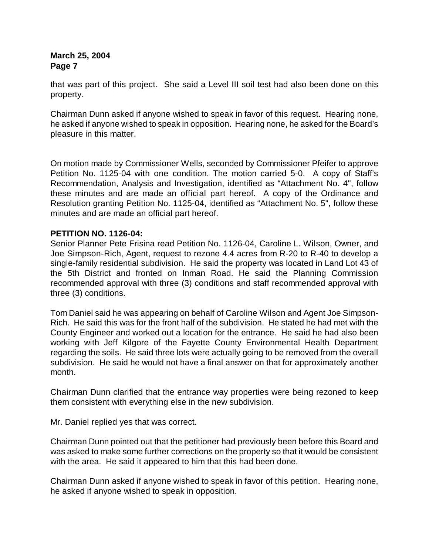that was part of this project. She said a Level III soil test had also been done on this property.

Chairman Dunn asked if anyone wished to speak in favor of this request. Hearing none, he asked if anyone wished to speak in opposition. Hearing none, he asked for the Board's pleasure in this matter.

On motion made by Commissioner Wells, seconded by Commissioner Pfeifer to approve Petition No. 1125-04 with one condition. The motion carried 5-0. A copy of Staff's Recommendation, Analysis and Investigation, identified as "Attachment No. 4", follow these minutes and are made an official part hereof. A copy of the Ordinance and Resolution granting Petition No. 1125-04, identified as "Attachment No. 5", follow these minutes and are made an official part hereof.

# **PETITION NO. 1126-04:**

Senior Planner Pete Frisina read Petition No. 1126-04, Caroline L. Wilson, Owner, and Joe Simpson-Rich, Agent, request to rezone 4.4 acres from R-20 to R-40 to develop a single-family residential subdivision. He said the property was located in Land Lot 43 of the 5th District and fronted on Inman Road. He said the Planning Commission recommended approval with three (3) conditions and staff recommended approval with three (3) conditions.

Tom Daniel said he was appearing on behalf of Caroline Wilson and Agent Joe Simpson-Rich. He said this was for the front half of the subdivision. He stated he had met with the County Engineer and worked out a location for the entrance. He said he had also been working with Jeff Kilgore of the Fayette County Environmental Health Department regarding the soils. He said three lots were actually going to be removed from the overall subdivision. He said he would not have a final answer on that for approximately another month.

Chairman Dunn clarified that the entrance way properties were being rezoned to keep them consistent with everything else in the new subdivision.

Mr. Daniel replied yes that was correct.

Chairman Dunn pointed out that the petitioner had previously been before this Board and was asked to make some further corrections on the property so that it would be consistent with the area. He said it appeared to him that this had been done.

Chairman Dunn asked if anyone wished to speak in favor of this petition. Hearing none, he asked if anyone wished to speak in opposition.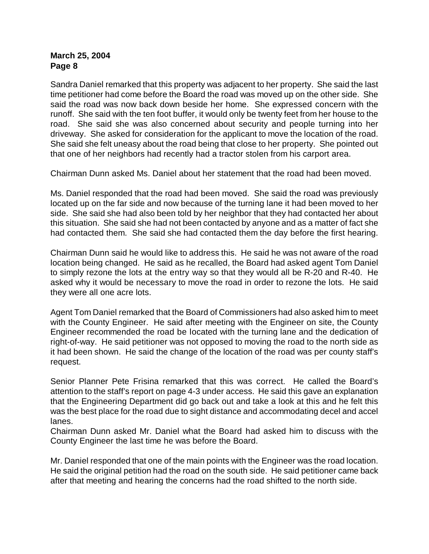Sandra Daniel remarked that this property was adjacent to her property. She said the last time petitioner had come before the Board the road was moved up on the other side. She said the road was now back down beside her home. She expressed concern with the runoff. She said with the ten foot buffer, it would only be twenty feet from her house to the road. She said she was also concerned about security and people turning into her driveway. She asked for consideration for the applicant to move the location of the road. She said she felt uneasy about the road being that close to her property. She pointed out that one of her neighbors had recently had a tractor stolen from his carport area.

Chairman Dunn asked Ms. Daniel about her statement that the road had been moved.

Ms. Daniel responded that the road had been moved. She said the road was previously located up on the far side and now because of the turning lane it had been moved to her side. She said she had also been told by her neighbor that they had contacted her about this situation. She said she had not been contacted by anyone and as a matter of fact she had contacted them. She said she had contacted them the day before the first hearing.

Chairman Dunn said he would like to address this. He said he was not aware of the road location being changed. He said as he recalled, the Board had asked agent Tom Daniel to simply rezone the lots at the entry way so that they would all be R-20 and R-40. He asked why it would be necessary to move the road in order to rezone the lots. He said they were all one acre lots.

Agent Tom Daniel remarked that the Board of Commissioners had also asked him to meet with the County Engineer. He said after meeting with the Engineer on site, the County Engineer recommended the road be located with the turning lane and the dedication of right-of-way. He said petitioner was not opposed to moving the road to the north side as it had been shown. He said the change of the location of the road was per county staff's request.

Senior Planner Pete Frisina remarked that this was correct. He called the Board's attention to the staff's report on page 4-3 under access. He said this gave an explanation that the Engineering Department did go back out and take a look at this and he felt this was the best place for the road due to sight distance and accommodating decel and accel lanes.

Chairman Dunn asked Mr. Daniel what the Board had asked him to discuss with the County Engineer the last time he was before the Board.

Mr. Daniel responded that one of the main points with the Engineer was the road location. He said the original petition had the road on the south side. He said petitioner came back after that meeting and hearing the concerns had the road shifted to the north side.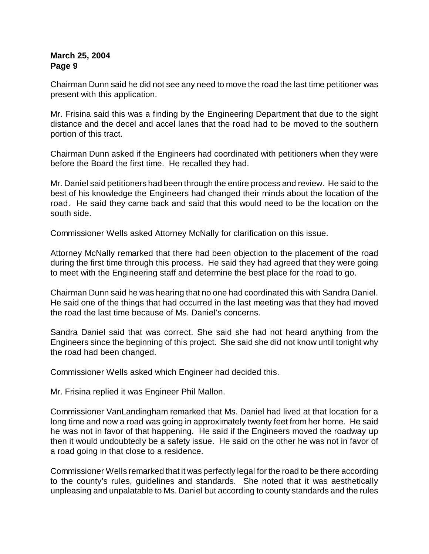Chairman Dunn said he did not see any need to move the road the last time petitioner was present with this application.

Mr. Frisina said this was a finding by the Engineering Department that due to the sight distance and the decel and accel lanes that the road had to be moved to the southern portion of this tract.

Chairman Dunn asked if the Engineers had coordinated with petitioners when they were before the Board the first time. He recalled they had.

Mr. Daniel said petitioners had been through the entire process and review. He said to the best of his knowledge the Engineers had changed their minds about the location of the road. He said they came back and said that this would need to be the location on the south side.

Commissioner Wells asked Attorney McNally for clarification on this issue.

Attorney McNally remarked that there had been objection to the placement of the road during the first time through this process. He said they had agreed that they were going to meet with the Engineering staff and determine the best place for the road to go.

Chairman Dunn said he was hearing that no one had coordinated this with Sandra Daniel. He said one of the things that had occurred in the last meeting was that they had moved the road the last time because of Ms. Daniel's concerns.

Sandra Daniel said that was correct. She said she had not heard anything from the Engineers since the beginning of this project. She said she did not know until tonight why the road had been changed.

Commissioner Wells asked which Engineer had decided this.

Mr. Frisina replied it was Engineer Phil Mallon.

Commissioner VanLandingham remarked that Ms. Daniel had lived at that location for a long time and now a road was going in approximately twenty feet from her home. He said he was not in favor of that happening. He said if the Engineers moved the roadway up then it would undoubtedly be a safety issue. He said on the other he was not in favor of a road going in that close to a residence.

Commissioner Wells remarked that it was perfectly legal for the road to be there according to the county's rules, guidelines and standards. She noted that it was aesthetically unpleasing and unpalatable to Ms. Daniel but according to county standards and the rules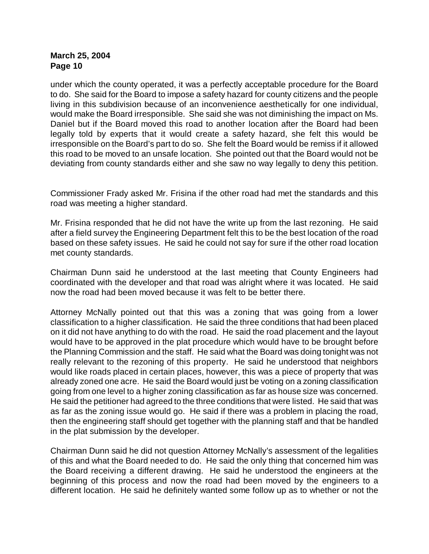under which the county operated, it was a perfectly acceptable procedure for the Board to do. She said for the Board to impose a safety hazard for county citizens and the people living in this subdivision because of an inconvenience aesthetically for one individual, would make the Board irresponsible. She said she was not diminishing the impact on Ms. Daniel but if the Board moved this road to another location after the Board had been legally told by experts that it would create a safety hazard, she felt this would be irresponsible on the Board's part to do so. She felt the Board would be remiss if it allowed this road to be moved to an unsafe location. She pointed out that the Board would not be deviating from county standards either and she saw no way legally to deny this petition.

Commissioner Frady asked Mr. Frisina if the other road had met the standards and this road was meeting a higher standard.

Mr. Frisina responded that he did not have the write up from the last rezoning. He said after a field survey the Engineering Department felt this to be the best location of the road based on these safety issues. He said he could not say for sure if the other road location met county standards.

Chairman Dunn said he understood at the last meeting that County Engineers had coordinated with the developer and that road was alright where it was located. He said now the road had been moved because it was felt to be better there.

Attorney McNally pointed out that this was a zoning that was going from a lower classification to a higher classification. He said the three conditions that had been placed on it did not have anything to do with the road. He said the road placement and the layout would have to be approved in the plat procedure which would have to be brought before the Planning Commission and the staff. He said what the Board was doing tonight was not really relevant to the rezoning of this property. He said he understood that neighbors would like roads placed in certain places, however, this was a piece of property that was already zoned one acre. He said the Board would just be voting on a zoning classification going from one level to a higher zoning classification as far as house size was concerned. He said the petitioner had agreed to the three conditions that were listed. He said that was as far as the zoning issue would go. He said if there was a problem in placing the road, then the engineering staff should get together with the planning staff and that be handled in the plat submission by the developer.

Chairman Dunn said he did not question Attorney McNally's assessment of the legalities of this and what the Board needed to do. He said the only thing that concerned him was the Board receiving a different drawing. He said he understood the engineers at the beginning of this process and now the road had been moved by the engineers to a different location. He said he definitely wanted some follow up as to whether or not the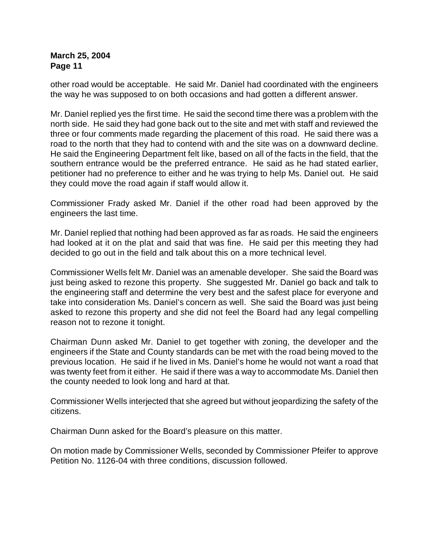other road would be acceptable. He said Mr. Daniel had coordinated with the engineers the way he was supposed to on both occasions and had gotten a different answer.

Mr. Daniel replied yes the first time. He said the second time there was a problem with the north side. He said they had gone back out to the site and met with staff and reviewed the three or four comments made regarding the placement of this road. He said there was a road to the north that they had to contend with and the site was on a downward decline. He said the Engineering Department felt like, based on all of the facts in the field, that the southern entrance would be the preferred entrance. He said as he had stated earlier, petitioner had no preference to either and he was trying to help Ms. Daniel out. He said they could move the road again if staff would allow it.

Commissioner Frady asked Mr. Daniel if the other road had been approved by the engineers the last time.

Mr. Daniel replied that nothing had been approved as far as roads. He said the engineers had looked at it on the plat and said that was fine. He said per this meeting they had decided to go out in the field and talk about this on a more technical level.

Commissioner Wells felt Mr. Daniel was an amenable developer. She said the Board was just being asked to rezone this property. She suggested Mr. Daniel go back and talk to the engineering staff and determine the very best and the safest place for everyone and take into consideration Ms. Daniel's concern as well. She said the Board was just being asked to rezone this property and she did not feel the Board had any legal compelling reason not to rezone it tonight.

Chairman Dunn asked Mr. Daniel to get together with zoning, the developer and the engineers if the State and County standards can be met with the road being moved to the previous location. He said if he lived in Ms. Daniel's home he would not want a road that was twenty feet from it either. He said if there was a way to accommodate Ms. Daniel then the county needed to look long and hard at that.

Commissioner Wells interjected that she agreed but without jeopardizing the safety of the citizens.

Chairman Dunn asked for the Board's pleasure on this matter.

On motion made by Commissioner Wells, seconded by Commissioner Pfeifer to approve Petition No. 1126-04 with three conditions, discussion followed.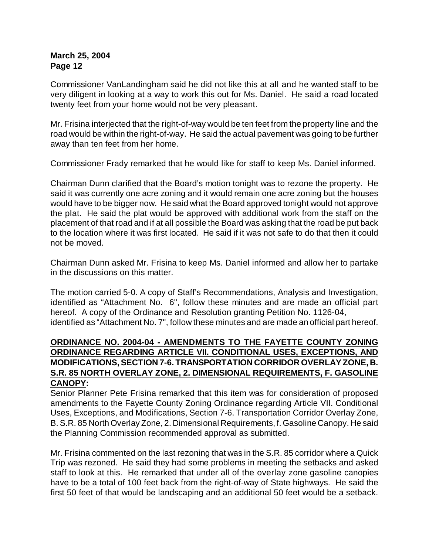Commissioner VanLandingham said he did not like this at all and he wanted staff to be very diligent in looking at a way to work this out for Ms. Daniel. He said a road located twenty feet from your home would not be very pleasant.

Mr. Frisina interjected that the right-of-way would be ten feet from the property line and the road would be within the right-of-way. He said the actual pavement was going to be further away than ten feet from her home.

Commissioner Frady remarked that he would like for staff to keep Ms. Daniel informed.

Chairman Dunn clarified that the Board's motion tonight was to rezone the property. He said it was currently one acre zoning and it would remain one acre zoning but the houses would have to be bigger now. He said what the Board approved tonight would not approve the plat. He said the plat would be approved with additional work from the staff on the placement of that road and if at all possible the Board was asking that the road be put back to the location where it was first located. He said if it was not safe to do that then it could not be moved.

Chairman Dunn asked Mr. Frisina to keep Ms. Daniel informed and allow her to partake in the discussions on this matter.

The motion carried 5-0. A copy of Staff's Recommendations, Analysis and Investigation, identified as "Attachment No. 6", follow these minutes and are made an official part hereof. A copy of the Ordinance and Resolution granting Petition No. 1126-04, identified as "Attachment No. 7", follow these minutes and are made an official part hereof.

# **ORDINANCE NO. 2004-04 - AMENDMENTS TO THE FAYETTE COUNTY ZONING ORDINANCE REGARDING ARTICLE VII. CONDITIONAL USES, EXCEPTIONS, AND MODIFICATIONS, SECTION 7-6. TRANSPORTATION CORRIDOR OVERLAY ZONE, B. S.R. 85 NORTH OVERLAY ZONE, 2. DIMENSIONAL REQUIREMENTS, F. GASOLINE CANOPY:**

Senior Planner Pete Frisina remarked that this item was for consideration of proposed amendments to the Fayette County Zoning Ordinance regarding Article VII. Conditional Uses, Exceptions, and Modifications, Section 7-6. Transportation Corridor Overlay Zone, B. S.R. 85 North Overlay Zone, 2. Dimensional Requirements, f. Gasoline Canopy. He said the Planning Commission recommended approval as submitted.

Mr. Frisina commented on the last rezoning that was in the S.R. 85 corridor where a Quick Trip was rezoned. He said they had some problems in meeting the setbacks and asked staff to look at this. He remarked that under all of the overlay zone gasoline canopies have to be a total of 100 feet back from the right-of-way of State highways. He said the first 50 feet of that would be landscaping and an additional 50 feet would be a setback.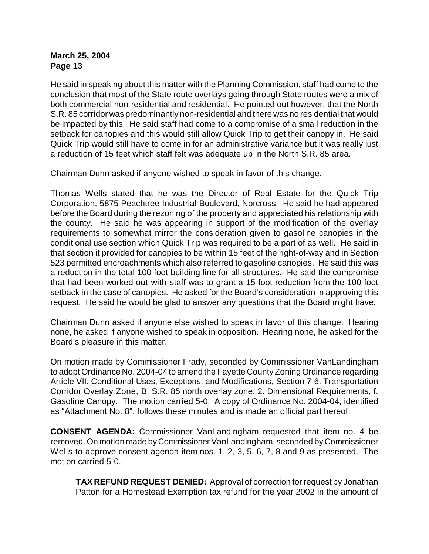He said in speaking about this matter with the Planning Commission, staff had come to the conclusion that most of the State route overlays going through State routes were a mix of both commercial non-residential and residential. He pointed out however, that the North S.R. 85 corridor was predominantly non-residential and there was no residential that would be impacted by this. He said staff had come to a compromise of a small reduction in the setback for canopies and this would still allow Quick Trip to get their canopy in. He said Quick Trip would still have to come in for an administrative variance but it was really just a reduction of 15 feet which staff felt was adequate up in the North S.R. 85 area.

Chairman Dunn asked if anyone wished to speak in favor of this change.

Thomas Wells stated that he was the Director of Real Estate for the Quick Trip Corporation, 5875 Peachtree Industrial Boulevard, Norcross. He said he had appeared before the Board during the rezoning of the property and appreciated his relationship with the county. He said he was appearing in support of the modification of the overlay requirements to somewhat mirror the consideration given to gasoline canopies in the conditional use section which Quick Trip was required to be a part of as well. He said in that section it provided for canopies to be within 15 feet of the right-of-way and in Section 523 permitted encroachments which also referred to gasoline canopies. He said this was a reduction in the total 100 foot building line for all structures. He said the compromise that had been worked out with staff was to grant a 15 foot reduction from the 100 foot setback in the case of canopies. He asked for the Board's consideration in approving this request. He said he would be glad to answer any questions that the Board might have.

Chairman Dunn asked if anyone else wished to speak in favor of this change. Hearing none, he asked if anyone wished to speak in opposition. Hearing none, he asked for the Board's pleasure in this matter.

On motion made by Commissioner Frady, seconded by Commissioner VanLandingham to adopt Ordinance No. 2004-04 to amend the Fayette County Zoning Ordinance regarding Article VII. Conditional Uses, Exceptions, and Modifications, Section 7-6. Transportation Corridor Overlay Zone, B. S.R. 85 north overlay zone, 2. Dimensional Requirements, f. Gasoline Canopy. The motion carried 5-0. A copy of Ordinance No. 2004-04, identified as "Attachment No. 8", follows these minutes and is made an official part hereof.

**CONSENT AGENDA:** Commissioner VanLandingham requested that item no. 4 be removed. On motion made by Commissioner VanLandingham, seconded by Commissioner Wells to approve consent agenda item nos. 1, 2, 3, 5, 6, 7, 8 and 9 as presented. The motion carried 5-0.

**TAX REFUND REQUEST DENIED:** Approval of correction for request by Jonathan Patton for a Homestead Exemption tax refund for the year 2002 in the amount of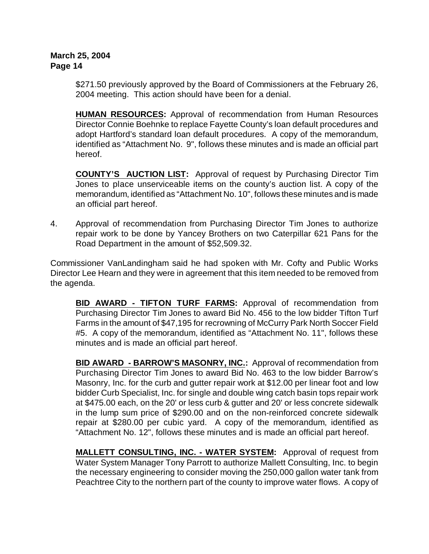\$271.50 previously approved by the Board of Commissioners at the February 26, 2004 meeting. This action should have been for a denial.

**HUMAN RESOURCES:** Approval of recommendation from Human Resources Director Connie Boehnke to replace Fayette County's loan default procedures and adopt Hartford's standard loan default procedures. A copy of the memorandum, identified as "Attachment No. 9", follows these minutes and is made an official part hereof.

**COUNTY'S AUCTION LIST:** Approval of request by Purchasing Director Tim Jones to place unserviceable items on the county's auction list. A copy of the memorandum, identified as "Attachment No. 10", follows these minutes and is made an official part hereof.

4. Approval of recommendation from Purchasing Director Tim Jones to authorize repair work to be done by Yancey Brothers on two Caterpillar 621 Pans for the Road Department in the amount of \$52,509.32.

Commissioner VanLandingham said he had spoken with Mr. Cofty and Public Works Director Lee Hearn and they were in agreement that this item needed to be removed from the agenda.

**BID AWARD - TIFTON TURF FARMS:** Approval of recommendation from Purchasing Director Tim Jones to award Bid No. 456 to the low bidder Tifton Turf Farms in the amount of \$47,195 for recrowning of McCurry Park North Soccer Field #5. A copy of the memorandum, identified as "Attachment No. 11", follows these minutes and is made an official part hereof.

**BID AWARD - BARROW'S MASONRY, INC.:** Approval of recommendation from Purchasing Director Tim Jones to award Bid No. 463 to the low bidder Barrow's Masonry, Inc. for the curb and gutter repair work at \$12.00 per linear foot and low bidder Curb Specialist, Inc. for single and double wing catch basin tops repair work at \$475.00 each, on the 20' or less curb & gutter and 20' or less concrete sidewalk in the lump sum price of \$290.00 and on the non-reinforced concrete sidewalk repair at \$280.00 per cubic yard. A copy of the memorandum, identified as "Attachment No. 12", follows these minutes and is made an official part hereof.

**MALLETT CONSULTING, INC. - WATER SYSTEM:** Approval of request from Water System Manager Tony Parrott to authorize Mallett Consulting, Inc. to begin the necessary engineering to consider moving the 250,000 gallon water tank from Peachtree City to the northern part of the county to improve water flows. A copy of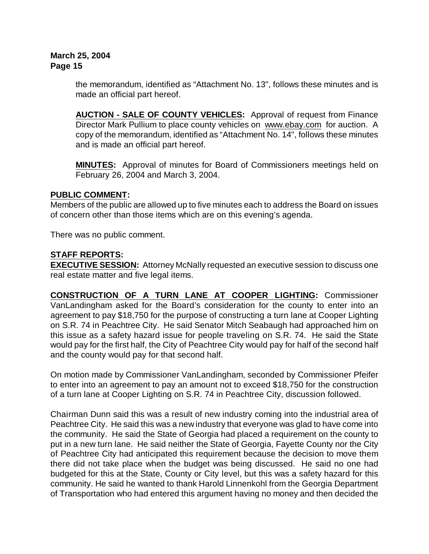the memorandum, identified as "Attachment No. 13", follows these minutes and is made an official part hereof.

**AUCTION - SALE OF COUNTY VEHICLES:** Approval of request from Finance Director Mark Pullium to place county vehicles on [www.ebay.com](http://www.ebay.com) for auction. A copy of the memorandum, identified as "Attachment No. 14", follows these minutes and is made an official part hereof.

**MINUTES:** Approval of minutes for Board of Commissioners meetings held on February 26, 2004 and March 3, 2004.

# **PUBLIC COMMENT:**

Members of the public are allowed up to five minutes each to address the Board on issues of concern other than those items which are on this evening's agenda.

There was no public comment.

# **STAFF REPORTS:**

**EXECUTIVE SESSION:** Attorney McNally requested an executive session to discuss one real estate matter and five legal items.

**CONSTRUCTION OF A TURN LANE AT COOPER LIGHTING:** Commissioner VanLandingham asked for the Board's consideration for the county to enter into an agreement to pay \$18,750 for the purpose of constructing a turn lane at Cooper Lighting on S.R. 74 in Peachtree City. He said Senator Mitch Seabaugh had approached him on this issue as a safety hazard issue for people traveling on S.R. 74. He said the State would pay for the first half, the City of Peachtree City would pay for half of the second half and the county would pay for that second half.

On motion made by Commissioner VanLandingham, seconded by Commissioner Pfeifer to enter into an agreement to pay an amount not to exceed \$18,750 for the construction of a turn lane at Cooper Lighting on S.R. 74 in Peachtree City, discussion followed.

Chairman Dunn said this was a result of new industry coming into the industrial area of Peachtree City. He said this was a new industry that everyone was glad to have come into the community. He said the State of Georgia had placed a requirement on the county to put in a new turn lane. He said neither the State of Georgia, Fayette County nor the City of Peachtree City had anticipated this requirement because the decision to move them there did not take place when the budget was being discussed. He said no one had budgeted for this at the State, County or City level, but this was a safety hazard for this community. He said he wanted to thank Harold Linnenkohl from the Georgia Department of Transportation who had entered this argument having no money and then decided the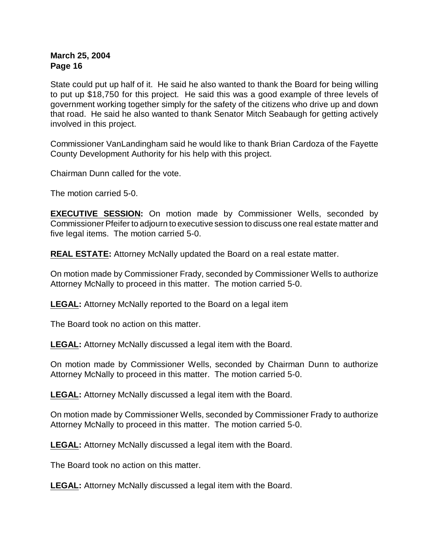State could put up half of it. He said he also wanted to thank the Board for being willing to put up \$18,750 for this project. He said this was a good example of three levels of government working together simply for the safety of the citizens who drive up and down that road. He said he also wanted to thank Senator Mitch Seabaugh for getting actively involved in this project.

Commissioner VanLandingham said he would like to thank Brian Cardoza of the Fayette County Development Authority for his help with this project.

Chairman Dunn called for the vote.

The motion carried 5-0.

**EXECUTIVE SESSION:** On motion made by Commissioner Wells, seconded by Commissioner Pfeifer to adjourn to executive session to discuss one real estate matter and five legal items. The motion carried 5-0.

**REAL ESTATE:** Attorney McNally updated the Board on a real estate matter.

On motion made by Commissioner Frady, seconded by Commissioner Wells to authorize Attorney McNally to proceed in this matter. The motion carried 5-0.

**LEGAL:** Attorney McNally reported to the Board on a legal item

The Board took no action on this matter.

**LEGAL:** Attorney McNally discussed a legal item with the Board.

On motion made by Commissioner Wells, seconded by Chairman Dunn to authorize Attorney McNally to proceed in this matter. The motion carried 5-0.

**LEGAL:** Attorney McNally discussed a legal item with the Board.

On motion made by Commissioner Wells, seconded by Commissioner Frady to authorize Attorney McNally to proceed in this matter. The motion carried 5-0.

**LEGAL:** Attorney McNally discussed a legal item with the Board.

The Board took no action on this matter.

**LEGAL:** Attorney McNally discussed a legal item with the Board.